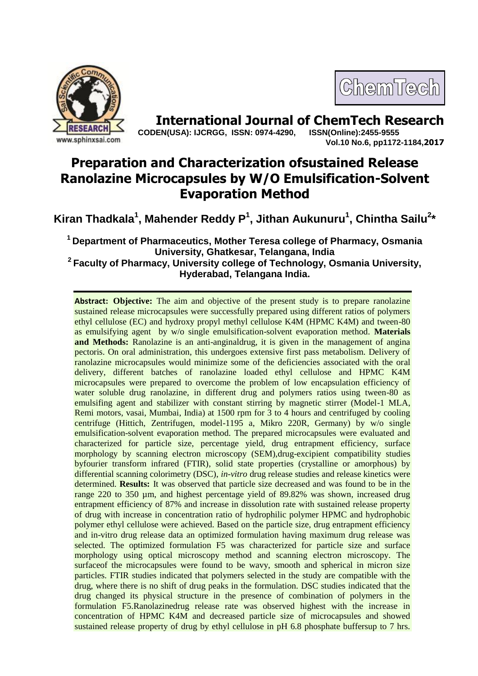

## ChemTech

**International Journal of ChemTech Research CODEN(USA): IJCRGG, ISSN: 0974-4290, ISSN(Online):2455-9555** 

**Vol.10 No.6, pp1172-1184,2017**

## **Preparation and Characterization ofsustained Release Ranolazine Microcapsules by W/O Emulsification-Solvent Evaporation Method**

**Kiran Thadkala<sup>1</sup> , Mahender Reddy P 1 , Jithan Aukunuru<sup>1</sup> , Chintha Sailu<sup>2</sup> \***

**<sup>1</sup>Department of Pharmaceutics, Mother Teresa college of Pharmacy, Osmania University, Ghatkesar, Telangana, India**

**<sup>2</sup>Faculty of Pharmacy, University college of Technology, Osmania University, Hyderabad, Telangana India.**

**Abstract: Objective:** The aim and objective of the present study is to prepare ranolazine sustained release microcapsules were successfully prepared using different ratios of polymers ethyl cellulose (EC) and hydroxy propyl methyl cellulose K4M (HPMC K4M) and tween-80 as emulsifying agent by w/o single emulsification-solvent evaporation method. **Materials and Methods:** Ranolazine is an anti-anginaldrug, it is given in the management of angina pectoris. On oral administration, this undergoes extensive first pass metabolism. Delivery of ranolazine microcapsules would minimize some of the deficiencies associated with the oral delivery, different batches of ranolazine loaded ethyl cellulose and HPMC K4M microcapsules were prepared to overcome the problem of low encapsulation efficiency of water soluble drug ranolazine, in different drug and polymers ratios using tween-80 as emulsifing agent and stabilizer with constant stirring by magnetic stirrer (Model-1 MLA, Remi motors, vasai, Mumbai, India) at 1500 rpm for 3 to 4 hours and centrifuged by cooling centrifuge (Hittich, Zentrifugen, model-1195 a, Mikro 220R, Germany) by w/o single emulsification-solvent evaporation method. The prepared microcapsules were evaluated and characterized for particle size, percentage yield, drug entrapment efficiency, surface morphology by scanning electron microscopy (SEM),drug-excipient compatibility studies byfourier transform infrared (FTIR), solid state properties (crystalline or amorphous) by differential scanning colorimetry (DSC), *in-vitro* drug release studies and release kinetics were determined. **Results:** It was observed that particle size decreased and was found to be in the range 220 to 350 µm, and highest percentage yield of 89.82% was shown, increased drug entrapment efficiency of 87% and increase in dissolution rate with sustained release property of drug with increase in concentration ratio of hydrophilic polymer HPMC and hydrophobic polymer ethyl cellulose were achieved. Based on the particle size, drug entrapment efficiency and in-vitro drug release data an optimized formulation having maximum drug release was selected. The optimized formulation F5 was characterized for particle size and surface morphology using optical microscopy method and scanning electron microscopy. The surfaceof the microcapsules were found to be wavy, smooth and spherical in micron size particles. FTIR studies indicated that polymers selected in the study are compatible with the drug, where there is no shift of drug peaks in the formulation. DSC studies indicated that the drug changed its physical structure in the presence of combination of polymers in the formulation F5.Ranolazinedrug release rate was observed highest with the increase in concentration of HPMC K4M and decreased particle size of microcapsules and showed sustained release property of drug by ethyl cellulose in pH 6.8 phosphate buffersup to 7 hrs.